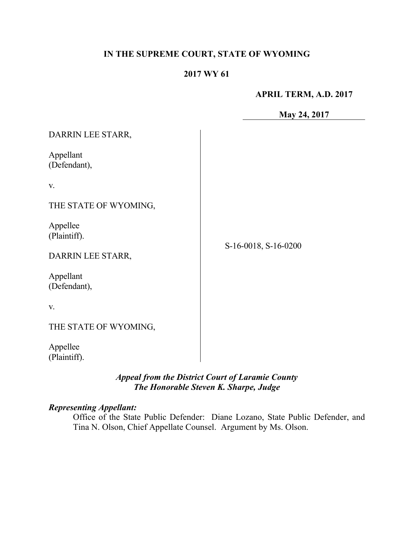### **IN THE SUPREME COURT, STATE OF WYOMING**

### **2017 WY 61**

**APRIL TERM, A.D. 2017**

**May 24, 2017**

| DARRIN LEE STARR,                                                          |                      |
|----------------------------------------------------------------------------|----------------------|
| Appellant<br>(Defendant),                                                  |                      |
| V.                                                                         |                      |
| THE STATE OF WYOMING,                                                      |                      |
| Appellee<br>(Plaintiff).<br>DARRIN LEE STARR,<br>Appellant<br>(Defendant), | S-16-0018, S-16-0200 |
| V.                                                                         |                      |
| THE STATE OF WYOMING,                                                      |                      |
| Appellee<br>(Plaintiff).                                                   |                      |

### *Appeal from the District Court of Laramie County The Honorable Steven K. Sharpe, Judge*

# *Representing Appellant:*

Office of the State Public Defender: Diane Lozano, State Public Defender, and Tina N. Olson, Chief Appellate Counsel. Argument by Ms. Olson.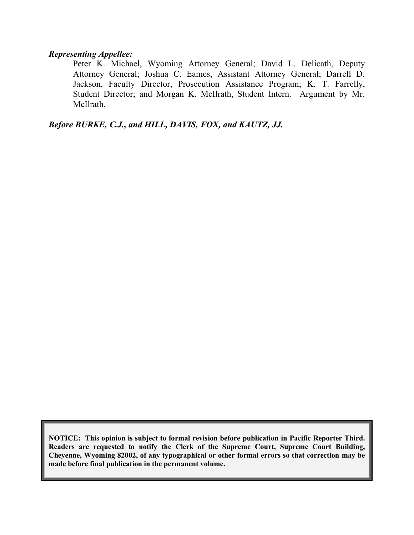#### *Representing Appellee:*

Peter K. Michael, Wyoming Attorney General; David L. Delicath, Deputy Attorney General; Joshua C. Eames, Assistant Attorney General; Darrell D. Jackson, Faculty Director, Prosecution Assistance Program; K. T. Farrelly, Student Director; and Morgan K. McIlrath, Student Intern. Argument by Mr. McIlrath.

*Before BURKE, C.J., and HILL, DAVIS, FOX, and KAUTZ, JJ.*

**NOTICE: This opinion is subject to formal revision before publication in Pacific Reporter Third. Readers are requested to notify the Clerk of the Supreme Court, Supreme Court Building, Cheyenne, Wyoming 82002, of any typographical or other formal errors so that correction may be made before final publication in the permanent volume.**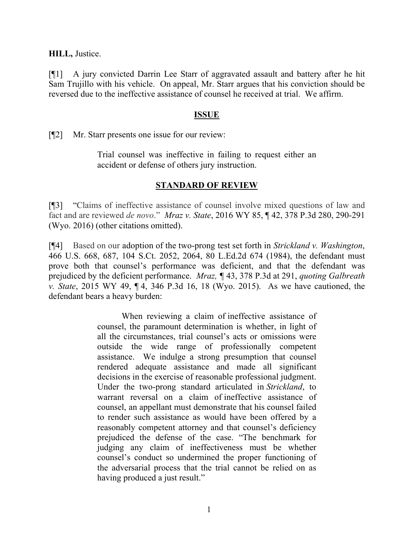**HILL,** Justice.

[¶1] A jury convicted Darrin Lee Starr of aggravated assault and battery after he hit Sam Trujillo with his vehicle. On appeal, Mr. Starr argues that his conviction should be reversed due to the ineffective assistance of counsel he received at trial. We affirm.

#### **ISSUE**

[¶2] Mr. Starr presents one issue for our review:

Trial counsel was ineffective in failing to request either an accident or defense of others jury instruction.

#### **STANDARD OF REVIEW**

[¶3] "Claims of ineffective assistance of counsel involve mixed questions of law and fact and are reviewed *de novo*." *Mraz v. State*, 2016 WY 85, ¶ 42, 378 P.3d 280, 290-291 (Wyo. 2016) (other citations omitted).

[¶4] Based on our adoption of the two-prong test set forth in *Strickland v. Washington*, 466 U.S. 668, 687, 104 S.Ct. 2052, 2064, 80 L.Ed.2d 674 (1984), the defendant must prove both that counsel's performance was deficient, and that the defendant was prejudiced by the deficient performance. *Mraz, ¶* 43, 378 P.3d at 291, *quoting Galbreath v. State*, 2015 WY 49, ¶ 4, 346 P.3d 16, 18 (Wyo. 2015). As we have cautioned, the defendant bears a heavy burden:

> When reviewing a claim of ineffective assistance of counsel, the paramount determination is whether, in light of all the circumstances, trial counsel's acts or omissions were outside the wide range of professionally competent assistance. We indulge a strong presumption that counsel rendered adequate assistance and made all significant decisions in the exercise of reasonable professional judgment. Under the two-prong standard articulated in *Strickland*, to warrant reversal on a claim of ineffective assistance of counsel, an appellant must demonstrate that his counsel failed to render such assistance as would have been offered by a reasonably competent attorney and that counsel's deficiency prejudiced the defense of the case. "The benchmark for judging any claim of ineffectiveness must be whether counsel's conduct so undermined the proper functioning of the adversarial process that the trial cannot be relied on as having produced a just result."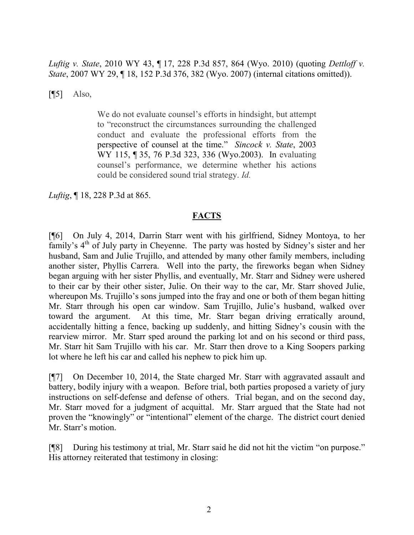*Luftig v. State*, 2010 WY 43, ¶ 17, 228 P.3d 857, 864 (Wyo. 2010) (quoting *Dettloff v. State*, 2007 WY 29, ¶ 18, 152 P.3d 376, 382 (Wyo. 2007) (internal citations omitted)).

 $[$ [ $\overline{5}]$  Also,

We do not evaluate counsel's efforts in hindsight, but attempt to "reconstruct the circumstances surrounding the challenged conduct and evaluate the professional efforts from the perspective of counsel at the time." *Sincock v. State*, 2003 WY 115, ¶ 35, 76 P.3d 323, 336 (Wyo.2003). In evaluating counsel's performance, we determine whether his actions could be considered sound trial strategy. *Id.*

*Luftig*, ¶ 18, 228 P.3d at 865.

#### **FACTS**

[¶6] On July 4, 2014, Darrin Starr went with his girlfriend, Sidney Montoya, to her family's 4<sup>th</sup> of July party in Cheyenne. The party was hosted by Sidney's sister and her husband, Sam and Julie Trujillo, and attended by many other family members, including another sister, Phyllis Carrera. Well into the party, the fireworks began when Sidney began arguing with her sister Phyllis, and eventually, Mr. Starr and Sidney were ushered to their car by their other sister, Julie. On their way to the car, Mr. Starr shoved Julie, whereupon Ms. Trujillo's sons jumped into the fray and one or both of them began hitting Mr. Starr through his open car window. Sam Trujillo, Julie's husband, walked over toward the argument. At this time, Mr. Starr began driving erratically around, accidentally hitting a fence, backing up suddenly, and hitting Sidney's cousin with the rearview mirror. Mr. Starr sped around the parking lot and on his second or third pass, Mr. Starr hit Sam Trujillo with his car. Mr. Starr then drove to a King Soopers parking lot where he left his car and called his nephew to pick him up.

[¶7] On December 10, 2014, the State charged Mr. Starr with aggravated assault and battery, bodily injury with a weapon. Before trial, both parties proposed a variety of jury instructions on self-defense and defense of others. Trial began, and on the second day, Mr. Starr moved for a judgment of acquittal. Mr. Starr argued that the State had not proven the "knowingly" or "intentional" element of the charge. The district court denied Mr. Starr's motion.

[¶8] During his testimony at trial, Mr. Starr said he did not hit the victim "on purpose." His attorney reiterated that testimony in closing: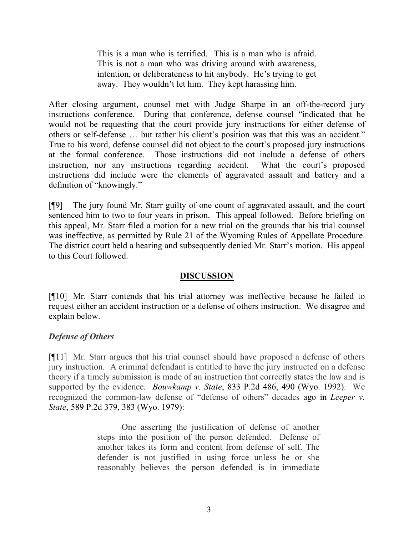This is a man who is terrified. This is a man who is afraid. This is not a man who was driving around with awareness, intention, or deliberateness to hit anybody. He's trying to get away. They wouldn't let him. They kept harassing him.

After closing argument, counsel met with Judge Sharpe in an off-the-record jury instructions conference. During that conference, defense counsel "indicated that he would not be requesting that the court provide jury instructions for either defense of others or self-defense … but rather his client's position was that this was an accident." True to his word, defense counsel did not object to the court's proposed jury instructions at the formal conference. Those instructions did not include a defense of others instruction, nor any instructions regarding accident. What the court's proposed instructions did include were the elements of aggravated assault and battery and a definition of "knowingly."

[¶9] The jury found Mr. Starr guilty of one count of aggravated assault, and the court sentenced him to two to four years in prison. This appeal followed. Before briefing on this appeal, Mr. Starr filed a motion for a new trial on the grounds that his trial counsel was ineffective, as permitted by Rule 21 of the Wyoming Rules of Appellate Procedure. The district court held a hearing and subsequently denied Mr. Starr's motion. His appeal to this Court followed.

#### **DISCUSSION**

[¶10] Mr. Starr contends that his trial attorney was ineffective because he failed to request either an accident instruction or a defense of others instruction. We disagree and explain below.

#### *Defense of Others*

[¶11] Mr. Starr argues that his trial counsel should have proposed a defense of others jury instruction. A criminal defendant is entitled to have the jury instructed on a defense theory if a timely submission is made of an instruction that correctly states the law and is supported by the evidence. *Bouwkamp v. State*, 833 P.2d 486, 490 (Wyo. 1992). We recognized the common-law defense of "defense of others" decades ago in *Leeper v. State*, 589 P.2d 379, 383 (Wyo. 1979):

> One asserting the justification of defense of another steps into the position of the person defended. Defense of another takes its form and content from defense of self. The defender is not justified in using force unless he or she reasonably believes the person defended is in immediate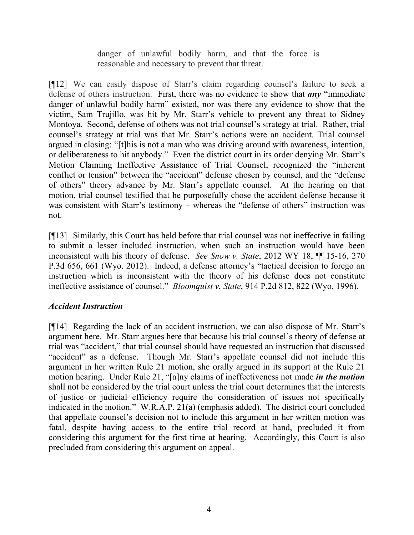danger of unlawful bodily harm, and that the force is reasonable and necessary to prevent that threat.

[¶12] We can easily dispose of Starr's claim regarding counsel's failure to seek a defense of others instruction. First, there was no evidence to show that *any* "immediate danger of unlawful bodily harm" existed, nor was there any evidence to show that the victim, Sam Trujillo, was hit by Mr. Starr's vehicle to prevent any threat to Sidney Montoya. Second, defense of others was not trial counsel's strategy at trial. Rather, trial counsel's strategy at trial was that Mr. Starr's actions were an accident. Trial counsel argued in closing: "[t]his is not a man who was driving around with awareness, intention, or deliberateness to hit anybody." Even the district court in its order denying Mr. Starr's Motion Claiming Ineffective Assistance of Trial Counsel, recognized the "inherent conflict or tension" between the "accident" defense chosen by counsel, and the "defense of others" theory advance by Mr. Starr's appellate counsel. At the hearing on that motion, trial counsel testified that he purposefully chose the accident defense because it was consistent with Starr's testimony – whereas the "defense of others" instruction was not.

[¶13] Similarly, this Court has held before that trial counsel was not ineffective in failing to submit a lesser included instruction, when such an instruction would have been inconsistent with his theory of defense. *See Snow v. State*, 2012 WY 18, ¶¶ 15-16, 270 P.3d 656, 661 (Wyo. 2012). Indeed, a defense attorney's "tactical decision to forego an instruction which is inconsistent with the theory of his defense does not constitute ineffective assistance of counsel." *Bloomquist v. State*, 914 P.2d 812, 822 (Wyo. 1996).

## *Accident Instruction*

[¶14] Regarding the lack of an accident instruction, we can also dispose of Mr. Starr's argument here. Mr. Starr argues here that because his trial counsel's theory of defense at trial was "accident," that trial counsel should have requested an instruction that discussed "accident" as a defense. Though Mr. Starr's appellate counsel did not include this argument in her written Rule 21 motion, she orally argued in its support at the Rule 21 motion hearing. Under Rule 21, "[a]ny claims of ineffectiveness not made *in the motion* shall not be considered by the trial court unless the trial court determines that the interests of justice or judicial efficiency require the consideration of issues not specifically indicated in the motion." W.R.A.P. 21(a) (emphasis added). The district court concluded that appellate counsel's decision not to include this argument in her written motion was fatal, despite having access to the entire trial record at hand, precluded it from considering this argument for the first time at hearing. Accordingly, this Court is also precluded from considering this argument on appeal.